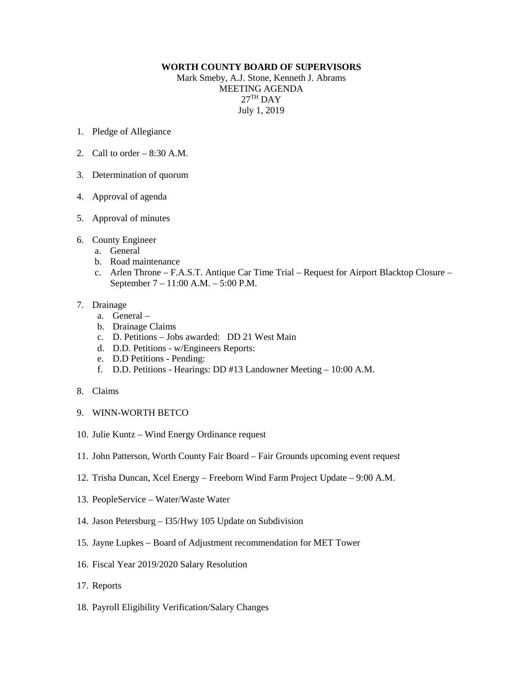## **WORTH COUNTY BOARD OF SUPERVISORS**

Mark Smeby, A.J. Stone, Kenneth J. Abrams MEETING AGENDA  $27<sup>TH</sup>$  DAY July 1, 2019

- 1. Pledge of Allegiance
- 2. Call to order  $-8:30$  A.M.
- 3. Determination of quorum
- 4. Approval of agenda
- 5. Approval of minutes
- 6. County Engineer
	- a. General
	- b. Road maintenance
	- c. Arlen Throne F.A.S.T. Antique Car Time Trial Request for Airport Blacktop Closure September 7 – 11:00 A.M. – 5:00 P.M.

## 7. Drainage

- a. General –
- b. Drainage Claims
- c. D. Petitions Jobs awarded: DD 21 West Main
- d. D.D. Petitions w/Engineers Reports:
- e. D.D Petitions Pending:
- f. D.D. Petitions Hearings: DD #13 Landowner Meeting 10:00 A.M.
- 8. Claims
- 9. WINN-WORTH BETCO
- 10. Julie Kuntz Wind Energy Ordinance request
- 11. John Patterson, Worth County Fair Board Fair Grounds upcoming event request
- 12. Trisha Duncan, Xcel Energy Freeborn Wind Farm Project Update 9:00 A.M.
- 13. PeopleService Water/Waste Water
- 14. Jason Petersburg I35/Hwy 105 Update on Subdivision
- 15. Jayne Lupkes Board of Adjustment recommendation for MET Tower
- 16. Fiscal Year 2019/2020 Salary Resolution
- 17. Reports
- 18. Payroll Eligibility Verification/Salary Changes